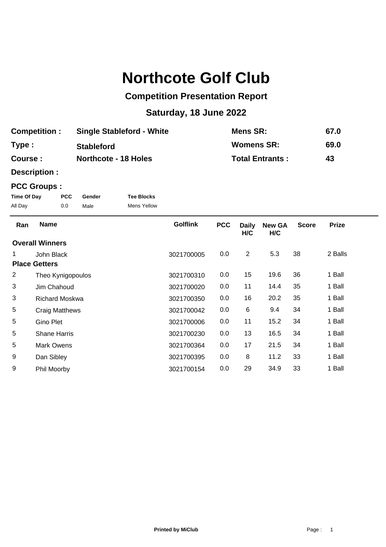## **Northcote Golf Club**

## **Competition Presentation Report**

## **Saturday, 18 June 2022**

| <b>Competition:</b> | <b>Single Stableford - White</b> | <b>Mens SR:</b>        | 67.0 |
|---------------------|----------------------------------|------------------------|------|
| Type:               | <b>Stableford</b>                | <b>Womens SR:</b>      | 69.0 |
| Course :            | <b>Northcote - 18 Holes</b>      | <b>Total Entrants:</b> | 43   |

**Description :**

## **PCC Groups :**

| Time Of Day | PCC. | Gender | <b>Tee Blocks</b>  |
|-------------|------|--------|--------------------|
| All Day     | 0.0  | Male   | <b>Mens Yellow</b> |

| Ran            | <b>Name</b>            | <b>Golflink</b> | <b>PCC</b> | <b>Daily</b><br>H/C | <b>New GA</b><br>H/C | <b>Score</b> | <b>Prize</b> |  |
|----------------|------------------------|-----------------|------------|---------------------|----------------------|--------------|--------------|--|
|                | <b>Overall Winners</b> |                 |            |                     |                      |              |              |  |
|                | John Black             | 3021700005      | $0.0\,$    | $\overline{2}$      | 5.3                  | 38           | 2 Balls      |  |
|                | <b>Place Getters</b>   |                 |            |                     |                      |              |              |  |
| $\overline{2}$ | Theo Kynigopoulos      | 3021700310      | 0.0        | 15                  | 19.6                 | 36           | 1 Ball       |  |
| 3              | Jim Chahoud            | 3021700020      | 0.0        | 11                  | 14.4                 | 35           | 1 Ball       |  |
| 3              | <b>Richard Moskwa</b>  | 3021700350      | 0.0        | 16                  | 20.2                 | 35           | 1 Ball       |  |
| 5              | <b>Craig Matthews</b>  | 3021700042      | 0.0        | 6                   | 9.4                  | 34           | 1 Ball       |  |
| 5              | Gino Plet              | 3021700006      | 0.0        | 11                  | 15.2                 | 34           | 1 Ball       |  |
| 5              | <b>Shane Harris</b>    | 3021700230      | 0.0        | 13                  | 16.5                 | 34           | 1 Ball       |  |
| 5              | Mark Owens             | 3021700364      | 0.0        | 17                  | 21.5                 | 34           | 1 Ball       |  |
| 9              | Dan Sibley             | 3021700395      | 0.0        | 8                   | 11.2                 | 33           | 1 Ball       |  |
| 9              | Phil Moorby            | 3021700154      | 0.0        | 29                  | 34.9                 | 33           | 1 Ball       |  |